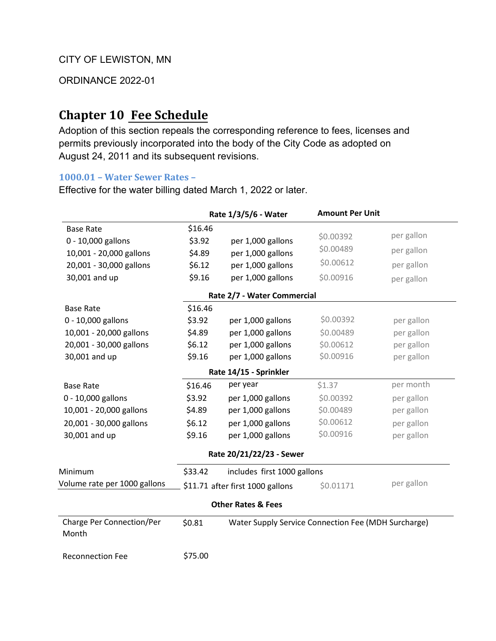ORDINANCE 2022-01

## **Chapter 10 Fee Schedule**

Adoption of this section repeals the corresponding reference to fees, licenses and permits previously incorporated into the body of the City Code as adopted on August 24, 2011 and its subsequent revisions.

## **1000.01 – Water Sewer Rates –**

Effective for the water billing dated March 1, 2022 or later.

|                                    | Rate 1/3/5/6 - Water                   |                                                     | <b>Amount Per Unit</b> |            |
|------------------------------------|----------------------------------------|-----------------------------------------------------|------------------------|------------|
| <b>Base Rate</b>                   | \$16.46                                |                                                     |                        |            |
| 0 - 10,000 gallons                 | \$3.92                                 | per 1,000 gallons                                   | \$0.00392              | per gallon |
| 10,001 - 20,000 gallons            | \$4.89                                 | per 1,000 gallons                                   | \$0.00489              | per gallon |
| 20,001 - 30,000 gallons            | \$6.12                                 | per 1,000 gallons                                   | \$0.00612              | per gallon |
| 30,001 and up                      | \$9.16                                 | per 1,000 gallons                                   | \$0.00916              | per gallon |
|                                    |                                        | Rate 2/7 - Water Commercial                         |                        |            |
| <b>Base Rate</b>                   | \$16.46                                |                                                     |                        |            |
| 0 - 10,000 gallons                 | \$3.92                                 | per 1,000 gallons                                   | \$0.00392              | per gallon |
| 10,001 - 20,000 gallons            | \$4.89                                 | per 1,000 gallons                                   | \$0.00489              | per gallon |
| 20,001 - 30,000 gallons            | \$6.12                                 | per 1,000 gallons                                   | \$0.00612              | per gallon |
| 30,001 and up                      | \$9.16                                 | per 1,000 gallons                                   | \$0.00916              | per gallon |
|                                    |                                        | Rate 14/15 - Sprinkler                              |                        |            |
| <b>Base Rate</b>                   | \$16.46                                | per year                                            | \$1.37                 | per month  |
| 0 - 10,000 gallons                 | \$3.92                                 | per 1,000 gallons                                   | \$0.00392              | per gallon |
| 10,001 - 20,000 gallons            | \$4.89                                 | per 1,000 gallons                                   | \$0.00489              | per gallon |
| 20,001 - 30,000 gallons            | \$6.12                                 | per 1,000 gallons                                   | \$0.00612              | per gallon |
| 30,001 and up                      | \$9.16                                 | per 1,000 gallons                                   | \$0.00916              | per gallon |
|                                    |                                        | Rate 20/21/22/23 - Sewer                            |                        |            |
| Minimum                            | \$33.42<br>includes first 1000 gallons |                                                     |                        |            |
| Volume rate per 1000 gallons       |                                        | \$11.71 after first 1000 gallons                    | \$0.01171              | per gallon |
|                                    |                                        | <b>Other Rates &amp; Fees</b>                       |                        |            |
| Charge Per Connection/Per<br>Month | \$0.81                                 | Water Supply Service Connection Fee (MDH Surcharge) |                        |            |
| <b>Reconnection Fee</b>            | \$75.00                                |                                                     |                        |            |